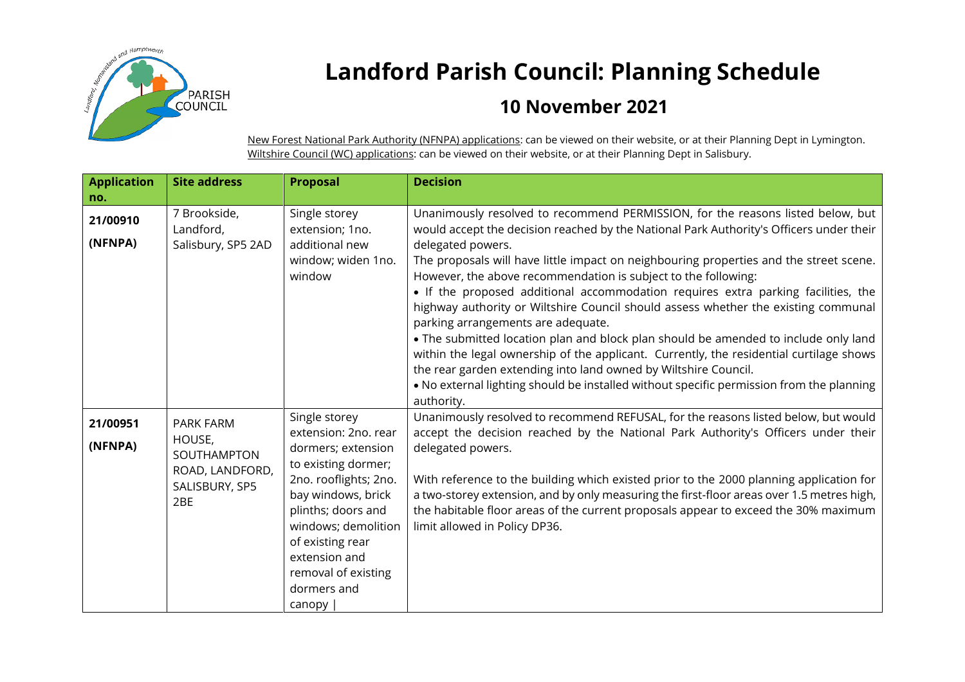

## **Landford Parish Council: Planning Schedule**

## **10 November 2021**

New Forest National Park Authority (NFNPA) applications: can be viewed on their website, or at their Planning Dept in Lymington. Wiltshire Council (WC) applications: can be viewed on their website, or at their Planning Dept in Salisbury.

| <b>Application</b> | <b>Site address</b> | <b>Proposal</b>                              | <b>Decision</b>                                                                                                                                                                                                                                   |
|--------------------|---------------------|----------------------------------------------|---------------------------------------------------------------------------------------------------------------------------------------------------------------------------------------------------------------------------------------------------|
| no.                |                     |                                              |                                                                                                                                                                                                                                                   |
| 21/00910           | 7 Brookside,        | Single storey                                | Unanimously resolved to recommend PERMISSION, for the reasons listed below, but                                                                                                                                                                   |
|                    | Landford,           | extension; 1no.                              | would accept the decision reached by the National Park Authority's Officers under their                                                                                                                                                           |
| (NFNPA)            | Salisbury, SP5 2AD  | additional new                               | delegated powers.                                                                                                                                                                                                                                 |
|                    |                     | window; widen 1no.<br>window                 | The proposals will have little impact on neighbouring properties and the street scene.<br>However, the above recommendation is subject to the following:                                                                                          |
|                    |                     |                                              | • If the proposed additional accommodation requires extra parking facilities, the<br>highway authority or Wiltshire Council should assess whether the existing communal<br>parking arrangements are adequate.                                     |
|                    |                     |                                              | . The submitted location plan and block plan should be amended to include only land<br>within the legal ownership of the applicant. Currently, the residential curtilage shows<br>the rear garden extending into land owned by Wiltshire Council. |
|                    |                     |                                              | . No external lighting should be installed without specific permission from the planning<br>authority.                                                                                                                                            |
| 21/00951           | PARK FARM           | Single storey                                | Unanimously resolved to recommend REFUSAL, for the reasons listed below, but would                                                                                                                                                                |
|                    | HOUSE,              | extension: 2no. rear                         | accept the decision reached by the National Park Authority's Officers under their                                                                                                                                                                 |
| (NFNPA)            | SOUTHAMPTON         | dormers; extension                           | delegated powers.                                                                                                                                                                                                                                 |
|                    | ROAD, LANDFORD,     | to existing dormer;<br>2no. rooflights; 2no. | With reference to the building which existed prior to the 2000 planning application for                                                                                                                                                           |
|                    | SALISBURY, SP5      | bay windows, brick                           | a two-storey extension, and by only measuring the first-floor areas over 1.5 metres high,                                                                                                                                                         |
|                    | 2BE                 | plinths; doors and                           | the habitable floor areas of the current proposals appear to exceed the 30% maximum                                                                                                                                                               |
|                    |                     | windows; demolition                          | limit allowed in Policy DP36.                                                                                                                                                                                                                     |
|                    |                     | of existing rear                             |                                                                                                                                                                                                                                                   |
|                    |                     | extension and                                |                                                                                                                                                                                                                                                   |
|                    |                     | removal of existing                          |                                                                                                                                                                                                                                                   |
|                    |                     | dormers and                                  |                                                                                                                                                                                                                                                   |
|                    |                     | canopy                                       |                                                                                                                                                                                                                                                   |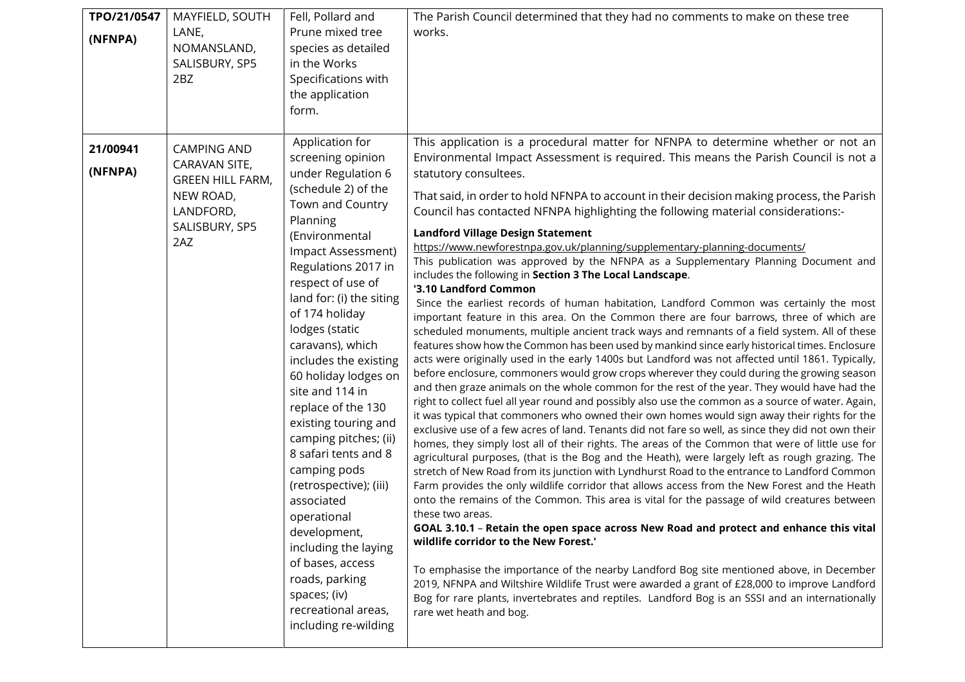| TPO/21/0547<br>(NFNPA) | MAYFIELD, SOUTH<br>LANE,<br>NOMANSLAND,<br>SALISBURY, SP5<br>2BZ                                                  | Fell, Pollard and<br>Prune mixed tree<br>species as detailed<br>in the Works<br>Specifications with<br>the application<br>form.                                                                                                                                                                                                                                                                                                                                                                                                                                                                                                                                                  | The Parish Council determined that they had no comments to make on these tree<br>works.                                                                                                                                                                                                                                                                                                                                                                                                                                                                                                                                                                                                                                                                                                                                                                                                                                                                                                                                                                                                                                                                                                                                                                                                                                                                                                                                                                                                                                                                                                                                                                                                                                                                                                                                                                                                                                                                                                                                                                                                                                                                                                                                                                                                                                                                                                                                                                                                                                                                                                                                                                                                  |
|------------------------|-------------------------------------------------------------------------------------------------------------------|----------------------------------------------------------------------------------------------------------------------------------------------------------------------------------------------------------------------------------------------------------------------------------------------------------------------------------------------------------------------------------------------------------------------------------------------------------------------------------------------------------------------------------------------------------------------------------------------------------------------------------------------------------------------------------|------------------------------------------------------------------------------------------------------------------------------------------------------------------------------------------------------------------------------------------------------------------------------------------------------------------------------------------------------------------------------------------------------------------------------------------------------------------------------------------------------------------------------------------------------------------------------------------------------------------------------------------------------------------------------------------------------------------------------------------------------------------------------------------------------------------------------------------------------------------------------------------------------------------------------------------------------------------------------------------------------------------------------------------------------------------------------------------------------------------------------------------------------------------------------------------------------------------------------------------------------------------------------------------------------------------------------------------------------------------------------------------------------------------------------------------------------------------------------------------------------------------------------------------------------------------------------------------------------------------------------------------------------------------------------------------------------------------------------------------------------------------------------------------------------------------------------------------------------------------------------------------------------------------------------------------------------------------------------------------------------------------------------------------------------------------------------------------------------------------------------------------------------------------------------------------------------------------------------------------------------------------------------------------------------------------------------------------------------------------------------------------------------------------------------------------------------------------------------------------------------------------------------------------------------------------------------------------------------------------------------------------------------------------------------------------|
| 21/00941<br>(NFNPA)    | <b>CAMPING AND</b><br>CARAVAN SITE,<br><b>GREEN HILL FARM,</b><br>NEW ROAD,<br>LANDFORD,<br>SALISBURY, SP5<br>2AZ | Application for<br>screening opinion<br>under Regulation 6<br>(schedule 2) of the<br>Town and Country<br>Planning<br>(Environmental<br>Impact Assessment)<br>Regulations 2017 in<br>respect of use of<br>land for: (i) the siting<br>of 174 holiday<br>lodges (static<br>caravans), which<br>includes the existing<br>60 holiday lodges on<br>site and 114 in<br>replace of the 130<br>existing touring and<br>camping pitches; (ii)<br>8 safari tents and 8<br>camping pods<br>(retrospective); (iii)<br>associated<br>operational<br>development,<br>including the laying<br>of bases, access<br>roads, parking<br>spaces; (iv)<br>recreational areas,<br>including re-wilding | This application is a procedural matter for NFNPA to determine whether or not an<br>Environmental Impact Assessment is required. This means the Parish Council is not a<br>statutory consultees.<br>That said, in order to hold NFNPA to account in their decision making process, the Parish<br>Council has contacted NFNPA highlighting the following material considerations:-<br><b>Landford Village Design Statement</b><br>https://www.newforestnpa.gov.uk/planning/supplementary-planning-documents/<br>This publication was approved by the NFNPA as a Supplementary Planning Document and<br>includes the following in Section 3 The Local Landscape.<br>'3.10 Landford Common<br>Since the earliest records of human habitation, Landford Common was certainly the most<br>important feature in this area. On the Common there are four barrows, three of which are<br>scheduled monuments, multiple ancient track ways and remnants of a field system. All of these<br>features show how the Common has been used by mankind since early historical times. Enclosure<br>acts were originally used in the early 1400s but Landford was not affected until 1861. Typically,<br>before enclosure, commoners would grow crops wherever they could during the growing season<br>and then graze animals on the whole common for the rest of the year. They would have had the<br>right to collect fuel all year round and possibly also use the common as a source of water. Again,<br>it was typical that commoners who owned their own homes would sign away their rights for the<br>exclusive use of a few acres of land. Tenants did not fare so well, as since they did not own their<br>homes, they simply lost all of their rights. The areas of the Common that were of little use for<br>agricultural purposes, (that is the Bog and the Heath), were largely left as rough grazing. The<br>stretch of New Road from its junction with Lyndhurst Road to the entrance to Landford Common<br>Farm provides the only wildlife corridor that allows access from the New Forest and the Heath<br>onto the remains of the Common. This area is vital for the passage of wild creatures between<br>these two areas.<br>GOAL 3.10.1 - Retain the open space across New Road and protect and enhance this vital<br>wildlife corridor to the New Forest."<br>To emphasise the importance of the nearby Landford Bog site mentioned above, in December<br>2019, NFNPA and Wiltshire Wildlife Trust were awarded a grant of £28,000 to improve Landford<br>Bog for rare plants, invertebrates and reptiles. Landford Bog is an SSSI and an internationally<br>rare wet heath and bog. |